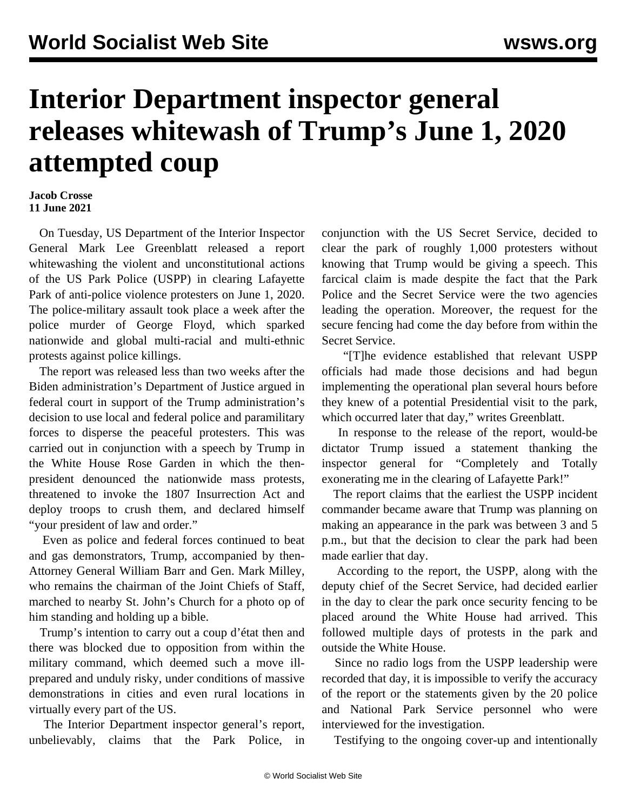## **Interior Department inspector general releases whitewash of Trump's June 1, 2020 attempted coup**

## **Jacob Crosse 11 June 2021**

 On Tuesday, US Department of the Interior Inspector General Mark Lee Greenblatt released a report whitewashing the violent and unconstitutional actions of the US Park Police (USPP) in clearing Lafayette Park of anti-police violence protesters on June 1, 2020. The police-military assault took place a week after the police murder of George Floyd, which sparked nationwide and global multi-racial and multi-ethnic protests against police killings.

 The report was released less than two weeks after the Biden administration's Department of Justice argued in [federal](/en/articles/2021/05/31/lafa-m31.html) [court](/en/articles/2021/05/31/lafa-m31.html) in support of the Trump administration's decision to use local and federal police and paramilitary forces to disperse the peaceful protesters. This was carried out in conjunction with a speech by Trump in the White House Rose Garden in which the thenpresident denounced the nationwide mass protests, threatened to invoke the 1807 Insurrection Act and deploy troops to crush them, and declared himself "your president of law and order."

 Even as police and federal forces continued to beat and gas demonstrators, Trump, accompanied by then-Attorney General William Barr and Gen. Mark Milley, who remains the chairman of the Joint Chiefs of Staff, marched to nearby St. John's Church for a photo op of him standing and holding up a bible.

 Trump's intention to carry out a coup d'état then and there was blocked [due to opposition](/en/articles/2020/06/12/pers-j12.html) from within the military command, which deemed such a move illprepared and unduly risky, under conditions of massive demonstrations in cities and even rural locations in virtually every part of the US.

 The Interior Department inspector general's report, unbelievably, claims that the Park Police, in conjunction with the US Secret Service, decided to clear the park of roughly 1,000 protesters without knowing that Trump would be giving a speech. This farcical claim is made despite the fact that the Park Police and the Secret Service were the two agencies leading the operation. Moreover, the request for the secure fencing had come the day before from within the Secret Service.

 "[T]he evidence established that relevant USPP officials had made those decisions and had begun implementing the operational plan several hours before they knew of a potential Presidential visit to the park, which occurred later that day," writes Greenblatt.

 In response to the release of the report, would-be dictator Trump issued a statement thanking the inspector general for "Completely and Totally exonerating me in the clearing of Lafayette Park!"

 The report claims that the earliest the USPP incident commander became aware that Trump was planning on making an appearance in the park was between 3 and 5 p.m., but that the decision to clear the park had been made earlier that day.

 According to the report, the USPP, along with the deputy chief of the Secret Service, had decided earlier in the day to clear the park once security fencing to be placed around the White House had arrived. This followed multiple days of protests in the park and outside the White House.

 Since no radio logs from the USPP leadership were recorded that day, it is impossible to verify the accuracy of the report or the statements given by the 20 police and National Park Service personnel who were interviewed for the investigation.

Testifying to the ongoing cover-up and intentionally